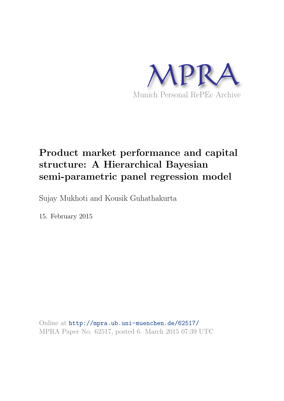

# Product market performance and capital structure: A Hierarchical Bayesian semi-parametric panel regression model

Sujay Mukhoti and Kousik Guhathakurta

15. February 2015

Online at <http://mpra.ub.uni-muenchen.de/62517/> MPRA Paper No. 62517, posted 6. March 2015 07:39 UTC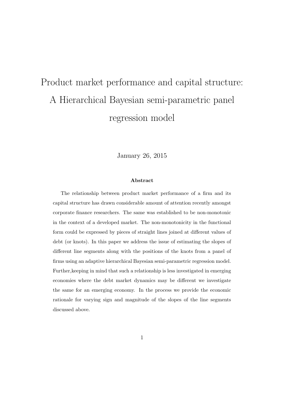# Product market performance and capital structure: A Hierarchical Bayesian semi-parametric panel regression model

January 26, 2015

#### **Abstract**

The relationship between product market performance of a firm and its capital structure has drawn considerable amount of attention recently amongst corporate finance researchers. The same was established to be non-monotonic in the context of a developed market. The non-monotonicity in the functional form could be expressed by pieces of straight lines joined at different values of debt (or knots). In this paper we address the issue of estimating the slopes of different line segments along with the positions of the knots from a panel of firms using an adaptive hierarchical Bayesian semi-parametric regression model. Further,keeping in mind that such a relationship is less investigated in emerging economies where the debt market dynamics may be different we investigate the same for an emerging economy. In the process we provide the economic rationale for varying sign and magnitude of the slopes of the line segments discussed above.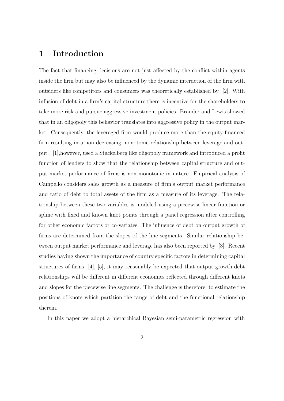## **1 Introduction**

The fact that financing decisions are not just affected by the conflict within agents inside the firm but may also be influenced by the dynamic interaction of the firm with outsiders like competitors and consumers was theoretically established by [2]. With infusion of debt in a firm's capital structure there is incentive for the shareholders to take more risk and pursue aggressive investment policies. Brander and Lewis showed that in an oligopoly this behavior translates into aggressive policy in the output market. Consequently, the leveraged firm would produce more than the equity-financed firm resulting in a non-decreasing monotonic relationship between leverage and output. [1],however, used a Stackelberg like oligopoly framework and introduced a profit function of lenders to show that the relationship between capital structure and output market performance of firms is non-monotonic in nature. Empirical analysis of Campello considers sales growth as a measure of firm's output market performance and ratio of debt to total assets of the firm as a measure of its leverage. The relationship between these two variables is modeled using a piecewise linear function or spline with fixed and known knot points through a panel regression after controlling for other economic factors or co-variates. The influence of debt on output growth of firms are determined from the slopes of the line segments. Similar relationship between output market performance and leverage has also been reported by [3]. Recent studies having shown the importance of country specific factors in determining capital structures of firms [4], [5], it may reasonably be expected that output growth-debt relationships will be different in different economies reflected through different knots and slopes for the piecewise line segments. The challenge is therefore, to estimate the positions of knots which partition the range of debt and the functional relationship therein.

In this paper we adopt a hierarchical Bayesian semi-parametric regression with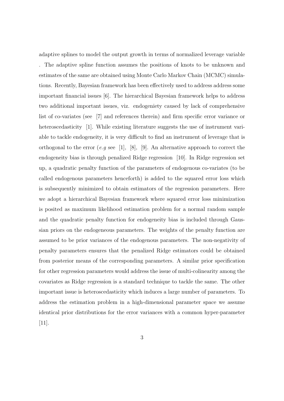adaptive splines to model the output growth in terms of normalized leverage variable . The adaptive spline function assumes the positions of knots to be unknown and estimates of the same are obtained using Monte Carlo Markov Chain (MCMC) simulations. Recently, Bayesian framework has been effectively used to address address some important financial issues [6]. The hierarchical Bayesian framework helps to address two additional important issues, viz. endogeniety caused by lack of comprehensive list of co-variates (see [7] and references therein) and firm specific error variance or heteroscedasticity [1]. While existing literature suggests the use of instrument variable to tackle endogeneity, it is very difficult to find an instrument of leverage that is orthogonal to the error (*e.g* see [1], [8], [9]. An alternative approach to correct the endogeneity bias is through penalized Ridge regression [10]. In Ridge regression set up, a quadratic penalty function of the parameters of endogenous co-variates (to be called endogenous parameters henceforth) is added to the squared error loss which is subsequently minimized to obtain estimators of the regression parameters. Here we adopt a hierarchical Bayesian framework where squared error loss minimization is posited as maximum likelihood estimation problem for a normal random sample and the quadratic penalty function for endogeneity bias is included through Gaussian priors on the endogeneous parameters. The weights of the penalty function are assumed to be prior variances of the endogenous parameters. The non-negativity of penalty parameters ensures that the penalized Ridge estimators could be obtained from posterior means of the corresponding parameters. A similar prior specification for other regression parameters would address the issue of multi-colinearity among the covariates as Ridge regression is a standard technique to tackle the same. The other important issue is heteroscedasticity which induces a large number of parameters. To address the estimation problem in a high-dimensional parameter space we assume identical prior distributions for the error variances with a common hyper-parameter [11].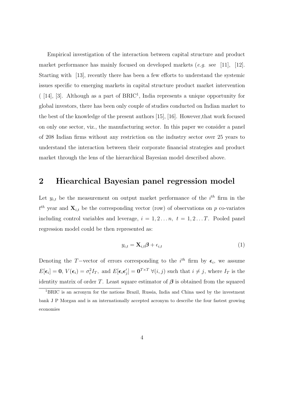Empirical investigation of the interaction between capital structure and product market performance has mainly focused on developed markets (*e.g.* see [11], [12]. Starting with [13], recently there has been a few efforts to understand the systemic issues specific to emerging markets in capital structure product market intervention  $($  [14], [3]. Although as a part of BRIC<sup>1</sup>, India represents a unique opportunity for global investors, there has been only couple of studies conducted on Indian market to the best of the knowledge of the present authors [15], [16]. However,that work focused on only one sector, viz., the manufacturing sector. In this paper we consider a panel of 208 Indian firms without any restriction on the industry sector over 25 years to understand the interaction between their corporate financial strategies and product market through the lens of the hierarchical Bayesian model described above.

## **2 Hiearchical Bayesian panel regression model**

Let  $y_{i,t}$  be the measurement on output market performance of the  $i^{th}$  firm in the  $t^{th}$  year and  $\mathbf{X}_{i,t}$  be the corresponding vector (row) of observations on *p* co-variates including control variables and leverage,  $i = 1, 2...n$ ,  $t = 1, 2...T$ . Pooled panel regression model could be then represented as:

$$
y_{i,t} = \mathbf{X}_{i,t} \boldsymbol{\beta} + \epsilon_{i,t} \tag{1}
$$

Denoting the *T*−vector of errors corresponding to the  $i^{th}$  firm by  $\epsilon_i$ , we assume  $E[\epsilon_i] = \mathbf{0}, V(\epsilon_i) = \sigma_i^2 I_T$ , and  $E[\epsilon_i \epsilon_j] = \mathbf{0}^{T \times T} \ \forall (i, j)$  such that  $i \neq j$ , where  $I_T$  is the identity matrix of order *T*. Least square estimator of  $\beta$  is obtained from the squared

<sup>1</sup>BRIC is an acronym for the nations Brazil, Russia, India and China used by the investment bank J P Morgan and is an internationally accepted acronym to describe the four fastest growing economies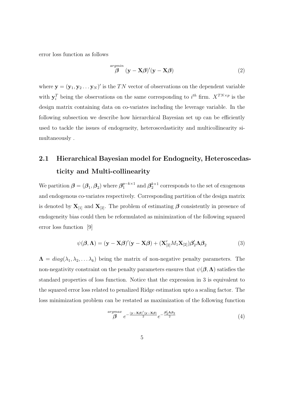error loss function as follows

$$
\stackrel{argmin}{\beta} (\mathbf{y} - \mathbf{X}\boldsymbol{\beta})'(\mathbf{y} - \mathbf{X}\boldsymbol{\beta})
$$
 (2)

where  $\mathbf{y} = (\mathbf{y}_1, \mathbf{y}_2 \dots \mathbf{y}_N)'$  is the TN vector of observations on the dependent variable with  $y_i^T$  being the observations on the same corresponding to  $i^{th}$  firm.  $X^{TN\times p}$  is the design matrix containing data on co-variates including the leverage variable. In the following subsection we describe how hierarchical Bayesian set up can be efficiently used to tackle the issues of endogeneity, heteroscedasticity and multicollinearity simultaneously .

# **2.1 Hierarchical Bayesian model for Endogneity, Heteroscedasticity and Multi-collinearity**

We partition  $\boldsymbol{\beta} = (\boldsymbol{\beta}_1, \boldsymbol{\beta}_2)$  where  $\boldsymbol{\beta}_1^{p-k\times 1}$  and  $\boldsymbol{\beta}_2^{k\times 1}$  corresponds to the set of exogenous and endogenous co-variates respectively. Corresponding partition of the design matrix is denoted by  $\mathbf{X}_{[1]}$  and  $\mathbf{X}_{[2]}$ . The problem of estimating  $\boldsymbol{\beta}$  consistently in presence of endogeneity bias could then be reformulated as minimization of the following squared error loss function [9]

$$
\psi(\boldsymbol{\beta}, \boldsymbol{\Lambda}) = (\mathbf{y} - \mathbf{X}\boldsymbol{\beta})'(\mathbf{y} - \mathbf{X}\boldsymbol{\beta}) + (\mathbf{X}_{[2]}')M_1\mathbf{X}_{[2]})\boldsymbol{\beta}_2'\boldsymbol{\Lambda}\boldsymbol{\beta}_2
$$
\n(3)

 $\Lambda = diag(\lambda_1, \lambda_2, \dots \lambda_k)$  being the matrix of non-negative penalty parameters. The non-negativity constraint on the penalty parameters ensures that  $\psi(\beta, \Lambda)$  satisfies the standard properties of loss function. Notice that the expression in 3 is equivalent to the squared error loss related to penalized Ridge estimation upto a scaling factor. The loss minimization problem can be restated as maximization of the following function

$$
\stackrel{argmax}{\beta} e^{-\frac{(\mathbf{y} - \mathbf{X}\boldsymbol{\beta})'(\mathbf{y} - \mathbf{X}\boldsymbol{\beta})}{2}} e^{-\frac{\boldsymbol{\beta}_2' \mathbf{\Lambda} \boldsymbol{\beta}_2}{2}}
$$
(4)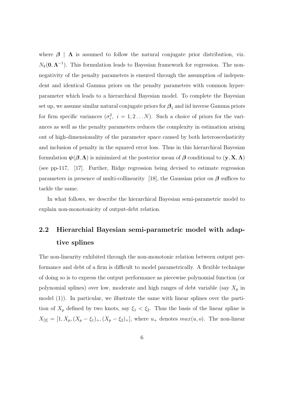where  $\beta$  |  $\Lambda$  is assumed to follow the natural conjugate prior distribution, viz.  $N_k(\mathbf{0}, \mathbf{\Lambda}^{-1})$ . This formulation leads to Bayesian framework for regression. The nonnegativity of the penalty parameters is ensured through the assumption of independent and identical Gamma priors on the penalty parameters with common hyperparameter which leads to a hierarchical Bayesian model. To complete the Bayesian set up, we assume similar natural conjugate priors for  $\beta_1$  and iid inverse Gamma priors for firm specific variances  $(\sigma_i^2, i = 1, 2...N)$ . Such a choice of priors for the variances as well as the penalty parameters reduces the complexity in estimation arising out of high-dimensionality of the parameter space caused by both heteroscedasticity and inclusion of penalty in the squared error loss. Thus in this hierarchical Bayesian formulation  $\psi(\beta, \Lambda)$  is minimized at the posterior mean of  $\beta$  conditional to  $(\mathbf{y}, \mathbf{X}, \Lambda)$ (see pp-117, [17]. Further, Ridge regression being devised to estimate regression parameters in presence of multi-collinearity [18], the Gaussian prior on *β* suffices to tackle the same.

In what follows, we describe the hierarchical Bayesian semi-parametric model to explain non-monotonicity of output-debt relation.

# **2.2 Hierarchial Bayesian semi-parametric model with adaptive splines**

The non-linearity exhibited through the non-monotonic relation between output performance and debt of a firm is difficult to model parametrically. A flexible technique of doing so is to express the output performance as piecewise polynomial function (or polynomial splines) over low, moderate and high ranges of debt variable (say *X<sup>p</sup>* in model (1)). In particular, we illustrate the same with linear splines over the partition of  $X_p$  defined by two knots, say  $\xi_1 < \xi_2$ . Thus the basis of the linear spline is  $X_{[2]} = [1, X_p, (X_p - \xi_1)_+, (X_p - \xi_2)_+]$ , where  $u_+$  denotes  $max(u, o)$ . The non-linear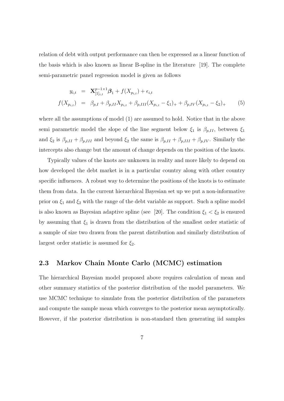relation of debt with output performance can then be expressed as a linear function of the basis which is also known as linear B-spline in the literature [19]. The complete semi-parametric panel regression model is given as follows

$$
y_{i,t} = \mathbf{X}_{[1]_{i,t}}^{p-1 \times 1} \boldsymbol{\beta}_1 + f(X_{p_{i,t}}) + \epsilon_{i,t}
$$
  

$$
f(X_{p_{i,t}}) = \beta_{p,I} + \beta_{p,II} X_{p_{i,t}} + \beta_{p,III} (X_{p_{i,t}} - \xi_1)_+ + \beta_{p,IV} (X_{p_{i,t}} - \xi_2)_+ \tag{5}
$$

where all the assumptions of model (1) are assumed to hold. Notice that in the above semi parametric model the slope of the line segment below  $\xi_1$  is  $\beta_{p,II}$ , between  $\xi_1$ and  $\xi_2$  is  $\beta_{p,II} + \beta_{p,III}$  and beyond  $\xi_2$  the same is  $\beta_{p,II} + \beta_{p,III} + \beta_{p,IV}$ . Similarly the intercepts also change but the amount of change depends on the position of the knots.

Typically values of the knots are unknown in reality and more likely to depend on how developed the debt market is in a particular country along with other country specific influences. A robust way to determine the positions of the knots is to estimate them from data. In the current hierarchical Bayesian set up we put a non-informative prior on  $\xi_1$  and  $\xi_2$  with the range of the debt variable as support. Such a spline model is also known as Bayesian adaptive spline (see [20]. The condition  $\xi_1 < \xi_2$  is ensured by assuming that *ξ*<sup>1</sup> is drawn from the distribution of the smallest order statistic of a sample of size two drawn from the parent distribution and similarly distribution of largest order statistic is assumed for *ξ*2.

#### **2.3 Markov Chain Monte Carlo (MCMC) estimation**

The hierarchical Bayesian model proposed above requires calculation of mean and other summary statistics of the posterior distribution of the model parameters. We use MCMC technique to simulate from the posterior distribution of the parameters and compute the sample mean which converges to the posterior mean asymptotically. However, if the posterior distribution is non-standard then generating iid samples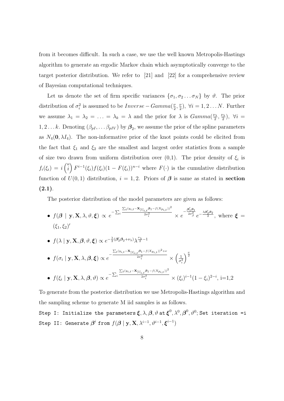from it becomes difficult. In such a case, we use the well known Metropolis-Hastings algorithm to generate an ergodic Markov chain which asymptotically converge to the target posterior distribution. We refer to [21] and [22] for a comprehensive review of Bayesian computational techniques.

Let us denote the set of firm specific variances  $\{\sigma_1, \sigma_2 \ldots \sigma_N\}$  by  $\vartheta$ . The prior distribution of  $\sigma_i^2$  is assumed to be  $Inverse - Gamma(\frac{\nu}{2})$  $\frac{\nu}{2}, \frac{\nu}{2}$  $(\frac{\nu}{2})$ ,  $\forall i = 1, 2 \dots N$ . Further we assume  $\lambda_1 = \lambda_2 = \ldots = \lambda_k = \lambda$  and the prior for  $\lambda$  is  $Gamma(\frac{\nu_\lambda}{2})$  $\frac{\nu_{\lambda}}{2}$ ,  $\frac{\nu_{\lambda}}{2}$  $\left(\frac{\sqrt{\lambda}}{2}\right)$ ,  $\forall i =$ 1, 2...k. Denoting  $(\beta_{pI}, \dots \beta_{pIV})$  by  $\mathcal{B}_2$ , we assume the prior of the spline parameters as  $N_4(\mathbf{0}, \lambda I_4)$ . The non-informative prior of the knot points could be elicited from the fact that  $\xi_1$  and  $\xi_2$  are the smallest and largest order statistics from a sample of size two drawn from uniform distribution over  $(0,1)$ . The prior density of  $\xi_i$  is  $f_i(\xi_i) = i \binom{n}{i} F^{i-1}(\xi_i) f(\xi_i) (1 - F(\xi_i))^{n-i}$  where  $F(\cdot)$  is the cumulative distribution function of  $U(0,1)$  distribution,  $i = 1,2$ . Priors of  $\beta$  is same as stated in **section (2.1)**.

The posterior distribution of the model parameters are given as follows:

- *• f*(*β |* **y***,* **X***, λ, ϑ, ξ*) *∝ e −* ∑ *i*  $\sum_{t}$ (*y*<sub>*i*</sub>,*t* −**X**<sub>[1]*i*,*t*</sub> $\beta$ <sub>1</sub>−*f*(*X*<sub>*pi*</sub>,*t*))<sup>2</sup>  $\frac{z^{i}e^{i\theta_1-f(X_{p_{i,t}}))^2}}{\times e^{-\frac{\beta'_1\beta_1}{2\sigma_\beta^2}}e^{-\frac{\lambda\beta'_2\beta_2}{2}},}$  where  $\xi=$  $(\xi_1, \xi_2)'$
- $f(\lambda \mid \mathbf{y}, \mathbf{X}, \boldsymbol{\beta}, \vartheta, \boldsymbol{\xi}) \propto e^{-\frac{\lambda}{2}(\beta_2^{\prime}\beta_2 + \nu_{\lambda})}\lambda^{\frac{\nu_{\lambda}}{2}-1}$ *• f*(*σ<sup>i</sup> |* **y***,* **X***, λ, β, ξ*) *∝ e −*  $\sum_{t} (y_{i,t} - \mathbf{X}_{[1]_{i,t}} \boldsymbol{\beta}_1 - f(X_{p_{i,t}}))^2 + \nu$  $\frac{1}{2\sigma_i^2}$  ×  $\left(\frac{1}{\sigma_i^2}\right)$  $\overline{\sigma_i^2}$  $\sqrt{\frac{\nu}{2}}$  $\sum_{t} (y_{i,t} - \mathbf{X}_{[1]_{i,t}} \boldsymbol{\beta}_1 - f(X_{p_{i,t}}))^2$
- $f(\xi_i | \mathbf{y}, \mathbf{X}, \lambda, \boldsymbol{\beta}, \vartheta) \propto e^{-\sum_i \xi_i}$  $\frac{a_1}{a_2 a_3^2}$  ×  $(\xi_i)^{i-1} (1 - \xi_i)^{2-i}$ , i=1,2

To generate from the posterior distribution we use Metropolis-Hastings algorithm and the sampling scheme to generate M iid samples is as follows.

Step I: Initialize the parameters  $\bm{\xi}, \lambda, \bm{\beta}, \vartheta$  at  $\bm{\xi}^0, \lambda^0, \bm{\beta}^0, \vartheta^0;$  Set iteration =i  $\textsf{Step II:}$  Generate  $\boldsymbol{\beta}^{i}$  from  $f(\boldsymbol{\beta} \mid \mathbf{y}, \mathbf{X}, \lambda^{i-1}, \vartheta^{i-1}, \boldsymbol{\xi}^{i-1})$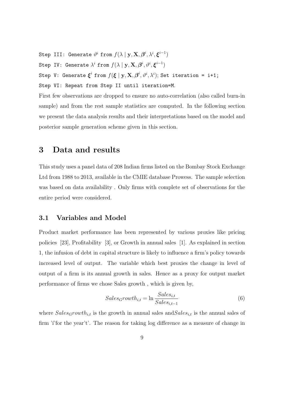$\textsf{Step III:}$  Generate  $\vartheta^i$  from  $f(\lambda \mid \mathbf{y}, \mathbf{X}, \boldsymbol{\beta}^i, \lambda^i, \boldsymbol{\xi}^{i-1})$  $\textsf{Step IV:}$  Generate  $\lambda^i$  from  $f(\lambda \mid \mathbf{y}, \mathbf{X}, \boldsymbol{\beta}^i, \vartheta^i, \boldsymbol{\xi}^{i-1})$ Step V: Generate  $\xi^i$  from  $f(\xi | y, \mathbf{X}, \boldsymbol{\beta}^i, \vartheta^i, \lambda^i);$  Set iteration = i+1; Step VI: Repeat from Step II until iteration=M. First few observations are dropped to ensure no auto-correlation (also called burn-in

sample) and from the rest sample statistics are computed. In the following section we present the data analysis results and their interpretations based on the model and posterior sample generation scheme given in this section.

## **3 Data and results**

This study uses a panel data of 208 Indian firms listed on the Bombay Stock Exchange Ltd from 1988 to 2013, available in the CMIE database Prowess. The sample selection was based on data availability . Only firms with complete set of observations for the entire period were considered.

#### **3.1 Variables and Model**

Product market performance has been represented by various proxies like pricing policies [23], Profitability [3], or Growth in annual sales [1]. As explained in section 1, the infusion of debt in capital structure is likely to influence a firm's policy towards increased level of output. The variable which best proxies the change in level of output of a firm is its annual growth in sales. Hence as a proxy for output market performance of firms we chose Sales growth , which is given by,

$$
Sales_Growth_{i,t} = \ln \frac{Sales_{i,t}}{Sales_{i,t-1}}
$$
\n
$$
\tag{6}
$$

where  $Sales_Growth_{i,t}$  is the growth in annual sales and  $Sales_{i,t}$  is the annual sales of firm ''' for the year't'. The reason for taking  $log$  difference as a measure of change in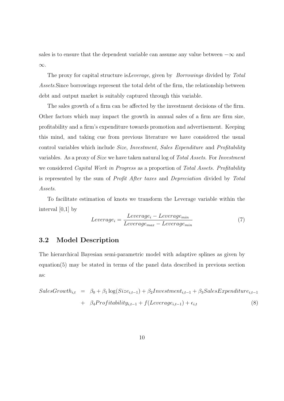sales is to ensure that the dependent variable can assume any value between *−∞* and *∞*.

The proxy for capital structure is*Leverage*, given by *Borrowings* divided by *Total Assets*.Since borrowings represent the total debt of the firm, the relationship between debt and output market is suitably captured through this variable.

The sales growth of a firm can be affected by the investment decisions of the firm. Other factors which may impact the growth in annual sales of a firm are firm size, profitability and a firm's expenditure towards promotion and advertisement. Keeping this mind, and taking cue from previous literature we have considered the usual control variables which include *Size*, *Investment*, *Sales Expenditure* and *Profitability* variables. As a proxy of *Size* we have taken natural log of *Total Assets*. For *Investment* we considered *Capital Work in Progress* as a proportion of *Total Assets*. *Profitability* is represented by the sum of *Profit After taxes* and *Depreciation* divided by *Total Assets*.

To facilitate estimation of knots we transform the Leverage variable within the interval [0,1] by

$$
Leverage_i = \frac{Leverage_i - Leverage_{min}}{Leverage_{max} - Leverage_{min}}\tag{7}
$$

#### **3.2 Model Description**

The hierarchical Bayesian semi-parametric model with adaptive splines as given by equation(5) may be stated in terms of the panel data described in previous section as:

$$
SalesGrowth_{i,t} = \beta_0 + \beta_1 \log(Size_{i,t-1}) + \beta_2 Investment_{i,t-1} + \beta_3 SalesExpenditure_{i,t-1} + \beta_4 Profitability_{i,t-1} + f(Leverage_{i,t-1}) + \epsilon_{i,t}
$$
\n(8)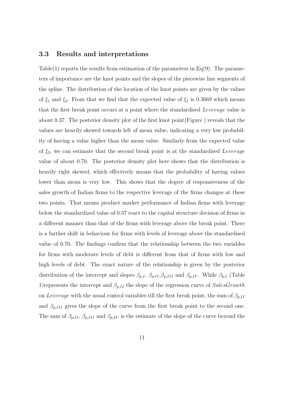#### **3.3 Results and interpretations**

Table(1) reports the results from estimation of the parameters in  $Eq(9)$ . The parameters of importance are the knot points and the slopes of the piecewise line segments of the spline. The distribution of the location of the knot points are given by the values of  $\xi_1$  and  $\xi_2$ . From that we find that the expected value of  $\xi_1$  is 0.3669 which means that the first break point occurs at a point where the standardised *Leverage* value is about 0.37. The posterior density plot of the first knot point(Figure ) reveals that the values are heavily skewed towards left of mean value, indicating a very low probability of having a value higher than the mean value. Similarly from the expected value of *ξ*2, we can estimate that the second break point is at the standardised *Leverage* value of about 0.70. The posterior density plot here shows that the distribution is heavily right skewed, which effectively means that the probability of having values lower than mean is very low. This shows that the degree of responsiveness of the sales growth of Indian firms to the respective leverage of the firms changes at these two points. That means product market performance of Indian firms with leverage below the standardized value of 0.37 react to the capital structure decision of firms in a different manner than that of the firms with leverage above the break point. There is a further shift in behaviour for firms with levels of leverage above the standardised value of 0.70. The findings confirm that the relationship between the two variables for firms with moderate levels of debt is different from that of firms with low and high levels of debt. The exact nature of the relationship is given by the posterior distribution of the intercept and slopes  $\beta_{p,I}$ ,  $\beta_{p,II}$ ,  $\beta_{p,III}$  and  $\beta_{p,IV}$ . While  $\beta_{p,I}$  (Table 1)represents the intercept and *βp,II* the slope of the regression curve of *SalesGrowth* on *Leverage* with the usual control variables till the first break point, the sum of  $\beta_{p,II}$ and  $\beta_{p,III}$  gives the slope of the curve from the first break point to the second one. The sum of  $\beta_{p,II}$ ,  $\beta_{p,III}$  and  $\beta_{p,IV}$  is the estimate of the slope of the curve beyond the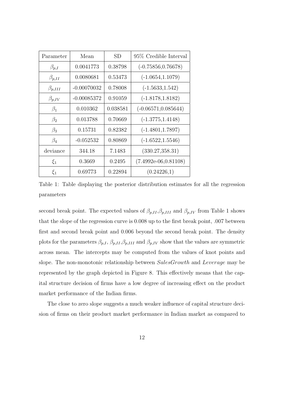| Parameter       | Mean          | SD       | 95% Credible Interval   |
|-----------------|---------------|----------|-------------------------|
| $\beta_{p,I}$   | 0.0041773     | 0.38798  | $(-0.75856, 0.76678)$   |
| $\beta_{p,II}$  | 0.0080681     | 0.53473  | $(-1.0654, 1.1079)$     |
| $\beta_{p,III}$ | $-0.00070032$ | 0.78008  | $(-1.5633, 1.542)$      |
| $\beta_{p,IV}$  | $-0.00085372$ | 0.91059  | $(-1.8178, 1.8182)$     |
| $\beta_1$       | 0.010362      | 0.038581 | $(-0.06571, 0.085644)$  |
| $\beta_2$       | 0.013788      | 0.70669  | $(-1.3775, 1.4148)$     |
| $\beta_3$       | 0.15731       | 0.82382  | $(-1.4801, 1.7897)$     |
| $\beta_4$       | $-0.052532$   | 0.80869  | $(-1.6522, 1.5546)$     |
| deviance        | 344.18        | 7.1483   | (330.27, 358.31)        |
| $\xi_1$         | 0.3669        | 0.2495   | $(7.4992e-06, 0.81108)$ |
| $\xi_1$         | 0.69773       | 0.22894  | (0.24226,1)             |

Table 1: Table displaying the posterior distribution estimates for all the regression parameters

second break point. The expected values of  $\beta_{p,II}, \beta_{p,III}$  and  $\beta_{p,IV}$  from Table 1 shows that the slope of the regression curve is 0.008 up to the first break point, .007 between first and second break point and 0.006 beyond the second break point. The density plots for the parameters  $\beta_{p,I}$ ,  $\beta_{p,II}$ ,  $\beta_{p,III}$  and  $\beta_{p,IV}$  show that the values are symmetric across mean. The intercepts may be computed from the values of knot points and slope. The non-monotonic relationship between *SalesGrowth* and *Leverage* may be represented by the graph depicted in Figure 8. This effectively means that the capital structure decision of firms have a low degree of increasing effect on the product market performance of the Indian firms.

The close to zero slope suggests a much weaker influence of capital structure decision of firms on their product market performance in Indian market as compared to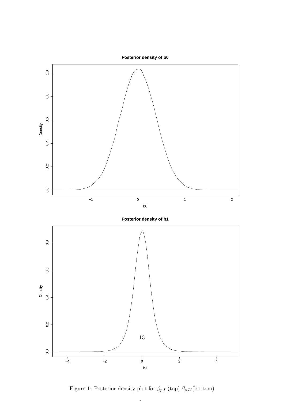

Figure 1: Posterior density plot for  $\beta_{p,I}$  (top), $\beta_{p,II}$ (bottom)

.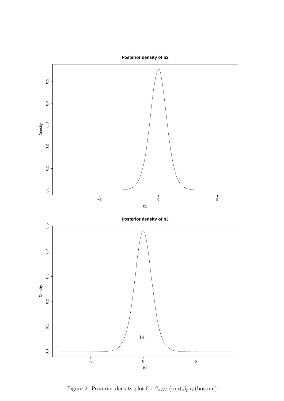

Figure 2: Posterior density plot for  $\beta_{p,III}$  (top), $\beta_{p,IV}$ (bottom)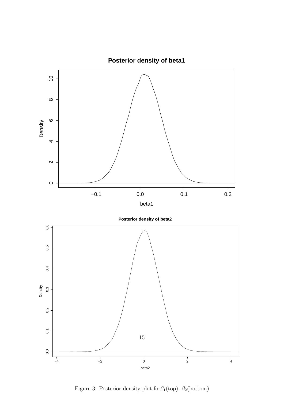

Figure 3: Posterior density plot for*β*1(top), *β*2(bottom)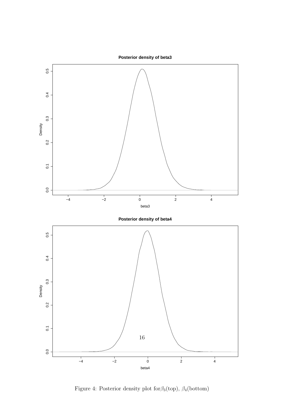

Figure 4: Posterior density plot for*β*3(top), *β*4(bottom)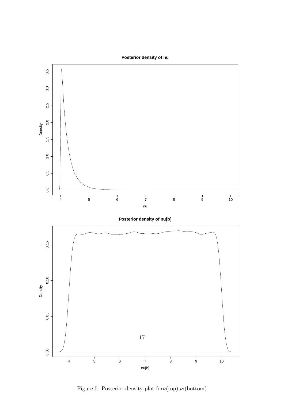

Figure 5: Posterior density plot  $for \nu (top), \nu_b (bottom)$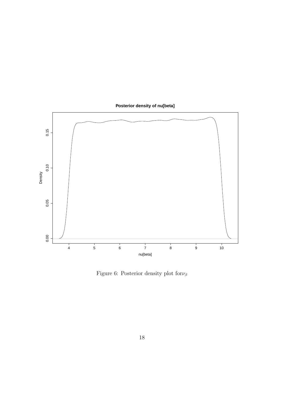### **Posterior density of nu[beta]**



Figure 6: Posterior density plot for  $\nu_\beta$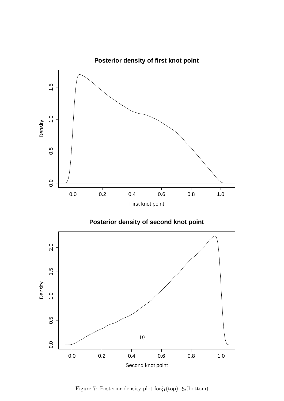

**Posterior density of first knot point**

**Posterior density of second knot point**



Figure 7: Posterior density plot for*ξ*1(top), *ξ*2(bottom)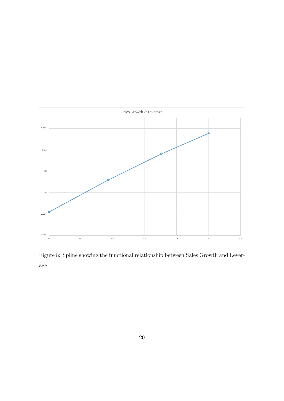

Figure 8: Spline showing the functional relationship between Sales Growth and Leverage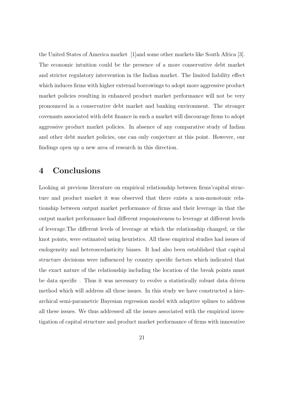the United States of America market [1]and some other markets like South Africa [3]. The economic intuition could be the presence of a more conservative debt market and stricter regulatory intervention in the Indian market. The limited liability effect which induces firms with higher external borrowings to adopt more aggressive product market policies resulting in enhanced product market performance will not be very pronounced in a conservative debt market and banking environment. The stronger covenants associated with debt finance in such a market will discourage firms to adopt aggressive product market policies. In absence of any comparative study of Indian and other debt market policies, one can only conjecture at this point. However, our findings open up a new area of research in this direction.

# **4 Conclusions**

Looking at previous literature on empirical relationship between firms'capital structure and product market it was observed that there exists a non-monotonic relationship between output market performance of firms and their leverage in that the output market performance had different responsiveness to leverage at different levels of leverage.The different levels of leverage at which the relationship changed, or the knot points, were estimated using heuristics. All these empirical studies had issues of endogeneity and heteroscedasticity biases. It had also been established that capital structure decisions were influenced by country specific factors which indicated that the exact nature of the relationship including the location of the break points must be data specific . Thus it was necessary to evolve a statistically robust data driven method which will address all these issues. In this study we have constructed a hierarchical semi-parametric Bayesian regression model with adaptive splines to address all these issues. We thus addressed all the issues associated with the empirical investigation of capital structure and product market performance of firms with innovative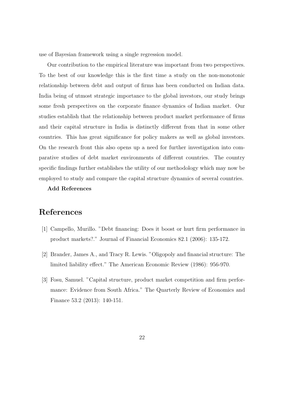use of Bayesian framework using a single regression model.

Our contribution to the empirical literature was important from two perspectives. To the best of our knowledge this is the first time a study on the non-monotonic relationship between debt and output of firms has been conducted on Indian data. India being of utmost strategic importance to the global investors, our study brings some fresh perspectives on the corporate finance dynamics of Indian market. Our studies establish that the relationship between product market performance of firms and their capital structure in India is distinctly different from that in some other countries. This has great significance for policy makers as well as global investors. On the research front this also opens up a need for further investigation into comparative studies of debt market environments of different countries. The country specific findings further establishes the utility of our methodology which may now be employed to study and compare the capital structure dynamics of several countries.

#### **Add References**

# **References**

- [1] Campello, Murillo. "Debt financing: Does it boost or hurt firm performance in product markets?." Journal of Financial Economics 82.1 (2006): 135-172.
- [2] Brander, James A., and Tracy R. Lewis. "Oligopoly and financial structure: The limited liability effect." The American Economic Review (1986): 956-970.
- [3] Fosu, Samuel. "Capital structure, product market competition and firm performance: Evidence from South Africa." The Quarterly Review of Economics and Finance 53.2 (2013): 140-151.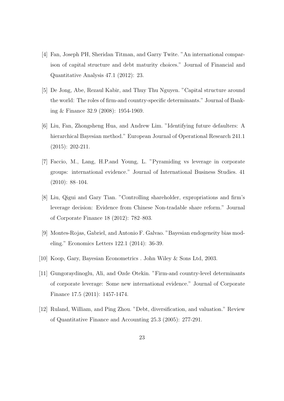- [4] Fan, Joseph PH, Sheridan Titman, and Garry Twite. "An international comparison of capital structure and debt maturity choices." Journal of Financial and Quantitative Analysis 47.1 (2012): 23.
- [5] De Jong, Abe, Rezaul Kabir, and Thuy Thu Nguyen. "Capital structure around the world: The roles of firm-and country-specific determinants." Journal of Banking & Finance 32.9 (2008): 1954-1969.
- [6] Liu, Fan, Zhongsheng Hua, and Andrew Lim. "Identifying future defaulters: A hierarchical Bayesian method." European Journal of Operational Research 241.1 (2015): 202-211.
- [7] Faccio, M., Lang, H.P.and Young, L. "Pyramiding vs leverage in corporate groups: international evidence." Journal of International Business Studies. 41  $(2010): 88-104.$
- [8] Liu, Qigui and Gary Tian. "Controlling shareholder, expropriations and firm's leverage decision: Evidence from Chinese Non-tradable share reform." Journal of Corporate Finance 18 (2012): 782–803.
- [9] Montes-Rojas, Gabriel, and Antonio F. Galvao. "Bayesian endogeneity bias modeling." Economics Letters 122.1 (2014): 36-39.
- [10] Koop, Gary, Bayesian Econometrics . John Wiley & Sons Ltd, 2003.
- [11] Gungoraydinoglu, Ali, and Ozde Otekin. "Firm-and country-level determinants of corporate leverage: Some new international evidence." Journal of Corporate Finance 17.5 (2011): 1457-1474.
- [12] Ruland, William, and Ping Zhou. "Debt, diversification, and valuation." Review of Quantitative Finance and Accounting 25.3 (2005): 277-291.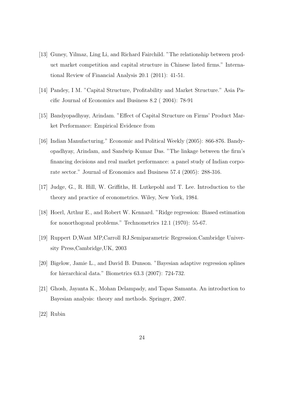- [13] Guney, Yilmaz, Ling Li, and Richard Fairchild. "The relationship between product market competition and capital structure in Chinese listed firms." International Review of Financial Analysis 20.1 (2011): 41-51.
- [14] Pandey, I M. "Capital Structure, Profitability and Market Structure." Asia Pacific Journal of Economics and Business 8.2 ( 2004): 78-91
- [15] Bandyopadhyay, Arindam. "Effect of Capital Structure on Firms' Product Market Performance: Empirical Evidence from
- [16] Indian Manufacturing." Economic and Political Weekly (2005): 866-876. Bandyopadhyay, Arindam, and Sandwip Kumar Das. "The linkage between the firm's financing decisions and real market performance: a panel study of Indian corporate sector." Journal of Economics and Business 57.4 (2005): 288-316.
- [17] Judge, G., R. Hill, W. Griffiths, H. Lutkepohl and T. Lee. Introduction to the theory and practice of econometrics. Wiley, New York, 1984.
- [18] Hoerl, Arthur E., and Robert W. Kennard. "Ridge regression: Biased estimation for nonorthogonal problems." Technometrics 12.1 (1970): 55-67.
- [19] Ruppert D,Want MP,Carroll RJ.Semiparametric Regression.Cambridge University Press,Cambridge,UK, 2003
- [20] Bigelow, Jamie L., and David B. Dunson. "Bayesian adaptive regression splines for hierarchical data." Biometrics 63.3 (2007): 724-732.
- [21] Ghosh, Jayanta K., Mohan Delampady, and Tapas Samanta. An introduction to Bayesian analysis: theory and methods. Springer, 2007.
- [22] Rubin